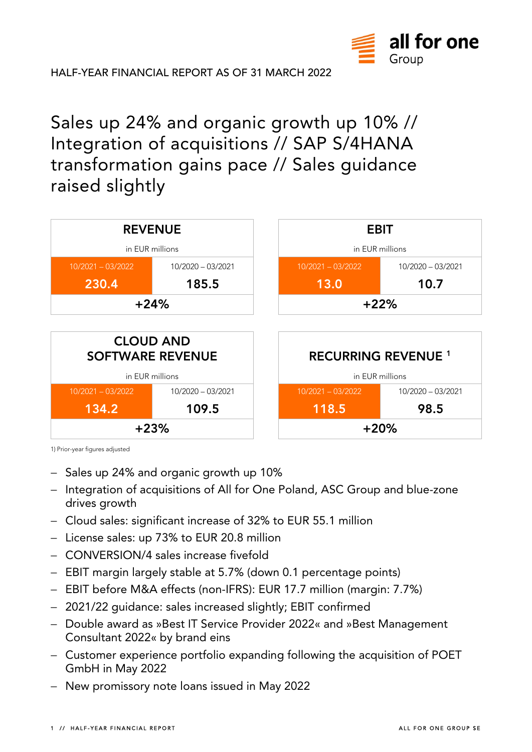

**HALF-YEAR FINANCIAL REPORT AS OF 31 MARCH 2022** 

Sales up 24% and organic growth up 10% // Integration of acquisitions // SAP S/4HANA transformation gains pace // Sales guidance raised slightly



1) Prior-year figures adjusted

- − Sales up 24% and organic growth up 10%
- − Integration of acquisitions of All for One Poland, ASC Group and blue-zone drives growth
- − Cloud sales: significant increase of 32% to EUR 55.1 million
- − License sales: up 73% to EUR 20.8 million
- − CONVERSION/4 sales increase fivefold
- − EBIT margin largely stable at 5.7% (down 0.1 percentage points)
- − EBIT before M&A effects (non-IFRS): EUR 17.7 million (margin: 7.7%)
- − 2021/22 guidance: sales increased slightly; EBIT confirmed
- − Double award as »Best IT Service Provider 2022« and »Best Management Consultant 2022« by brand eins
- − Customer experience portfolio expanding following the acquisition of POET GmbH in May 2022
- − New promissory note loans issued in May 2022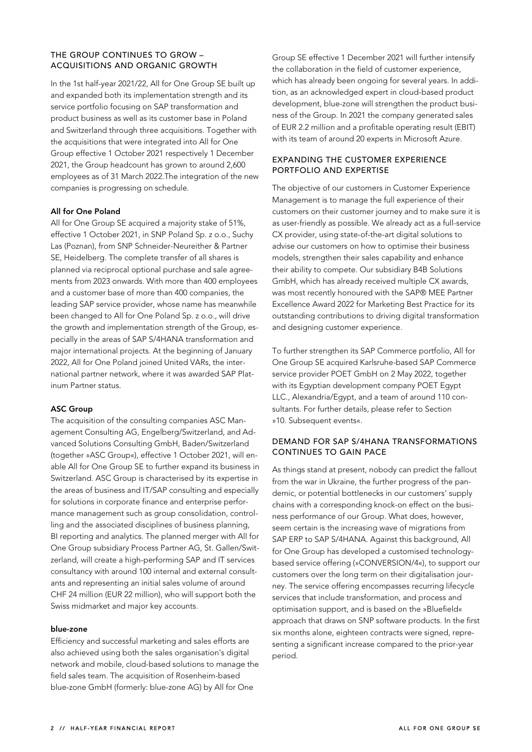### **THE GROUP CONTINUES TO GROW – ACQUISITIONS AND ORGANIC GROWTH**

In the 1st half-year 2021/22, All for One Group SE built up and expanded both its implementation strength and its service portfolio focusing on SAP transformation and product business as well as its customer base in Poland and Switzerland through three acquisitions. Together with the acquisitions that were integrated into All for One Group effective 1 October 2021 respectively 1 December 2021, the Group headcount has grown to around 2,600 employees as of 31 March 2022.The integration of the new companies is progressing on schedule.

### **All for One Poland**

All for One Group SE acquired a majority stake of 51%, effective 1 October 2021, in SNP Poland Sp. z o.o., Suchy Las (Poznan), from SNP Schneider-Neureither & Partner SE, Heidelberg. The complete transfer of all shares is planned via reciprocal optional purchase and sale agreements from 2023 onwards. With more than 400 employees and a customer base of more than 400 companies, the leading SAP service provider, whose name has meanwhile been changed to All for One Poland Sp. z o.o., will drive the growth and implementation strength of the Group, especially in the areas of SAP S/4HANA transformation and major international projects. At the beginning of January 2022, All for One Poland joined United VARs, the international partner network, where it was awarded SAP Platinum Partner status.

### **ASC Group**

The acquisition of the consulting companies ASC Management Consulting AG, Engelberg/Switzerland, and Advanced Solutions Consulting GmbH, Baden/Switzerland (together »ASC Group«), effective 1 October 2021, will enable All for One Group SE to further expand its business in Switzerland. ASC Group is characterised by its expertise in the areas of business and IT/SAP consulting and especially for solutions in corporate finance and enterprise performance management such as group consolidation, controlling and the associated disciplines of business planning, BI reporting and analytics. The planned merger with All for One Group subsidiary Process Partner AG, St. Gallen/Switzerland, will create a high-performing SAP and IT services consultancy with around 100 internal and external consultants and representing an initial sales volume of around CHF 24 million (EUR 22 million), who will support both the Swiss midmarket and major key accounts.

### **blue-zone**

Efficiency and successful marketing and sales efforts are also achieved using both the sales organisation's digital network and mobile, cloud-based solutions to manage the field sales team. The acquisition of Rosenheim-based blue-zone GmbH (formerly: blue-zone AG) by All for One

Group SE effective 1 December 2021 will further intensify the collaboration in the field of customer experience, which has already been ongoing for several years. In addition, as an acknowledged expert in cloud-based product development, blue-zone will strengthen the product business of the Group. In 2021 the company generated sales of EUR 2.2 million and a profitable operating result (EBIT) with its team of around 20 experts in Microsoft Azure.

### **EXPANDING THE CUSTOMER EXPERIENCE PORTFOLIO AND EXPERTISE**

The objective of our customers in Customer Experience Management is to manage the full experience of their customers on their customer journey and to make sure it is as user-friendly as possible. We already act as a full-service CX provider, using state-of-the-art digital solutions to advise our customers on how to optimise their business models, strengthen their sales capability and enhance their ability to compete. Our subsidiary B4B Solutions GmbH, which has already received multiple CX awards, was most recently honoured with the SAP® MEE Partner Excellence Award 2022 for Marketing Best Practice for its outstanding contributions to driving digital transformation and designing customer experience.

To further strengthen its SAP Commerce portfolio, All for One Group SE acquired Karlsruhe-based SAP Commerce service provider POET GmbH on 2 May 2022, together with its Egyptian development company POET Egypt LLC., Alexandria/Egypt, and a team of around 110 consultants. For further details, please refer to Section »10. Subsequent events«.

### **DEMAND FOR SAP S/4HANA TRANSFORMATIONS CONTINUES TO GAIN PACE**

As things stand at present, nobody can predict the fallout from the war in Ukraine, the further progress of the pandemic, or potential bottlenecks in our customers' supply chains with a corresponding knock-on effect on the business performance of our Group. What does, however, seem certain is the increasing wave of migrations from SAP ERP to SAP S/4HANA. Against this background, All for One Group has developed a customised technologybased service offering (»CONVERSION/4«), to support our customers over the long term on their digitalisation journey. The service offering encompasses recurring lifecycle services that include transformation, and process and optimisation support, and is based on the »Bluefield« approach that draws on SNP software products. In the first six months alone, eighteen contracts were signed, representing a significant increase compared to the prior-year period.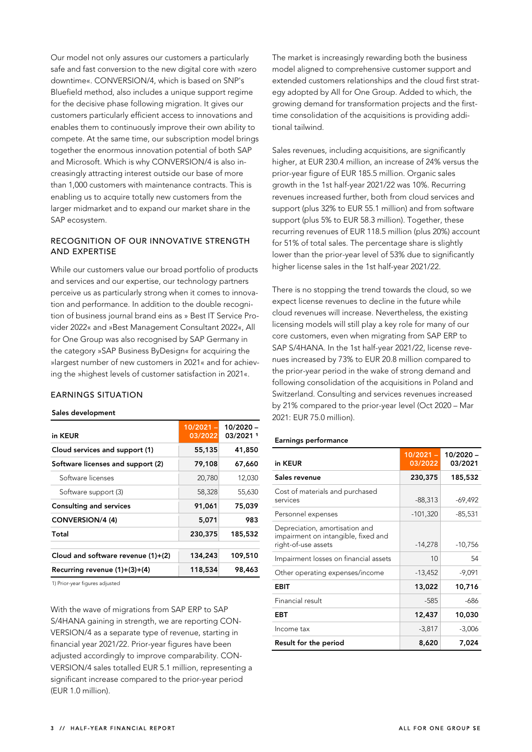Our model not only assures our customers a particularly safe and fast conversion to the new digital core with »zero downtime«. CONVERSION/4, which is based on SNP's Bluefield method, also includes a unique support regime for the decisive phase following migration. It gives our customers particularly efficient access to innovations and enables them to continuously improve their own ability to compete. At the same time, our subscription model brings together the enormous innovation potential of both SAP and Microsoft. Which is why CONVERSION/4 is also increasingly attracting interest outside our base of more than 1,000 customers with maintenance contracts. This is enabling us to acquire totally new customers from the larger midmarket and to expand our market share in the SAP ecosystem.

### **RECOGNITION OF OUR INNOVATIVE STRENGTH AND EXPERTISE**

While our customers value our broad portfolio of products and services and our expertise, our technology partners perceive us as particularly strong when it comes to innovation and performance. In addition to the double recognition of business journal brand eins as » Best IT Service Provider 2022« and »Best Management Consultant 2022«, All for One Group was also recognised by SAP Germany in the category »SAP Business ByDesign« for acquiring the »largest number of new customers in 2021« and for achieving the »highest levels of customer satisfaction in 2021«.

### **EARNINGS SITUATION**

#### **Sales development**

| in KEUR                            | $10/2021 -$<br>03/2022 | 10/2020 -<br>03/2021 1 |
|------------------------------------|------------------------|------------------------|
| Cloud services and support (1)     | 55,135                 | 41,850                 |
| Software licenses and support (2)  | 79,108                 | 67,660                 |
| Software licenses                  | 20,780                 | 12,030                 |
| Software support (3)               | 58,328                 | 55,630                 |
| <b>Consulting and services</b>     | 91,061                 | 75,039                 |
| CONVERSION/4 (4)                   | 5.071                  | 983                    |
| Total                              | 230,375                | 185,532                |
| Cloud and software revenue (1)+(2) | 134,243                | 109,510                |
| Recurring revenue $(1)+(3)+(4)$    | 118,534                | 98,463                 |

1) Prior-year figures adjusted

With the wave of migrations from SAP ERP to SAP S/4HANA gaining in strength, we are reporting CON-VERSION/4 as a separate type of revenue, starting in financial year 2021/22. Prior-year figures have been adjusted accordingly to improve comparability. CON-VERSION/4 sales totalled EUR 5.1 million, representing a significant increase compared to the prior-year period (EUR 1.0 million).

The market is increasingly rewarding both the business model aligned to comprehensive customer support and extended customers relationships and the cloud first strategy adopted by All for One Group. Added to which, the growing demand for transformation projects and the firsttime consolidation of the acquisitions is providing additional tailwind.

Sales revenues, including acquisitions, are significantly higher, at EUR 230.4 million, an increase of 24% versus the prior-year figure of EUR 185.5 million. Organic sales growth in the 1st half-year 2021/22 was 10%. Recurring revenues increased further, both from cloud services and support (plus 32% to EUR 55.1 million) and from software support (plus 5% to EUR 58.3 million). Together, these recurring revenues of EUR 118.5 million (plus 20%) account for 51% of total sales. The percentage share is slightly lower than the prior-year level of 53% due to significantly higher license sales in the 1st half-year 2021/22.

There is no stopping the trend towards the cloud, so we expect license revenues to decline in the future while cloud revenues will increase. Nevertheless, the existing licensing models will still play a key role for many of our core customers, even when migrating from SAP ERP to SAP S/4HANA. In the 1st half-year 2021/22, license revenues increased by 73% to EUR 20.8 million compared to the prior-year period in the wake of strong demand and following consolidation of the acquisitions in Poland and Switzerland. Consulting and services revenues increased by 21% compared to the prior-year level (Oct 2020 – Mar 2021: EUR 75.0 million).

### **Earnings performance**

| in KEUR                                                                                      | $10/2021 -$<br>03/2022 | 10/2020 -<br>03/2021 |
|----------------------------------------------------------------------------------------------|------------------------|----------------------|
| Sales revenue                                                                                | 230,375                | 185,532              |
| Cost of materials and purchased<br>services                                                  | $-88,313$              | -69,492              |
| Personnel expenses                                                                           | $-101,320$             | $-85,531$            |
| Depreciation, amortisation and<br>impairment on intangible, fixed and<br>right-of-use assets | $-14,278$              | $-10,756$            |
| Impairment losses on financial assets                                                        | 10                     | 54                   |
| Other operating expenses/income                                                              | $-13,452$              | $-9,091$             |
| EBIT                                                                                         | 13,022                 | 10,716               |
| Financial result                                                                             | $-585$                 | -686                 |
| EBT                                                                                          | 12,437                 | 10,030               |
| Income tax                                                                                   | $-3,817$               | $-3,006$             |
| Result for the period                                                                        | 8,620                  | 7,024                |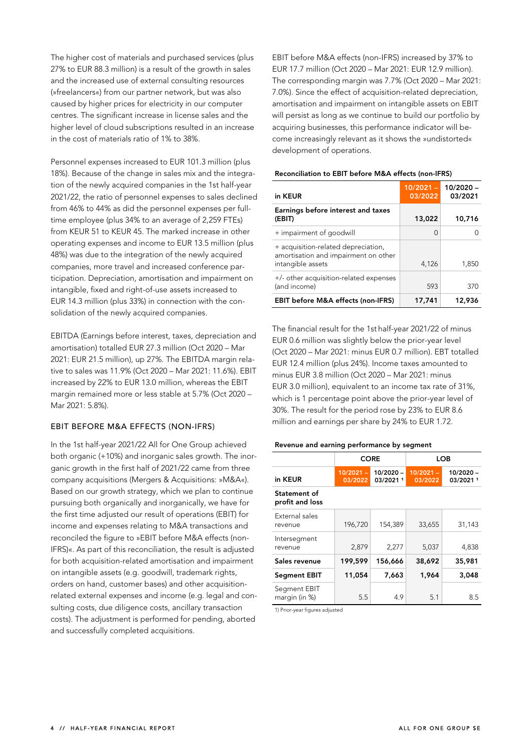The higher cost of materials and purchased services (plus 27% to EUR 88.3 million) is a result of the growth in sales and the increased use of external consulting resources (»freelancers«) from our partner network, but was also caused by higher prices for electricity in our computer centres. The significant increase in license sales and the higher level of cloud subscriptions resulted in an increase in the cost of materials ratio of 1% to 38%.

Personnel expenses increased to EUR 101.3 million (plus 18%). Because of the change in sales mix and the integration of the newly acquired companies in the 1st half-year 2021/22, the ratio of personnel expenses to sales declined from 46% to 44% as did the personnel expenses per fulltime employee (plus 34% to an average of 2,259 FTEs) from KEUR 51 to KEUR 45. The marked increase in other operating expenses and income to EUR 13.5 million (plus 48%) was due to the integration of the newly acquired companies, more travel and increased conference participation. Depreciation, amortisation and impairment on intangible, fixed and right-of-use assets increased to EUR 14.3 million (plus 33%) in connection with the consolidation of the newly acquired companies.

EBITDA (Earnings before interest, taxes, depreciation and amortisation) totalled EUR 27.3 million (Oct 2020 – Mar 2021: EUR 21.5 million), up 27%. The EBITDA margin relative to sales was 11.9% (Oct 2020 – Mar 2021: 11.6%). EBIT increased by 22% to EUR 13.0 million, whereas the EBIT margin remained more or less stable at 5.7% (Oct 2020 – Mar 2021: 5.8%).

### **EBIT BEFORE M&A EFFECTS (NON-IFRS)**

In the 1st half-year 2021/22 All for One Group achieved both organic (+10%) and inorganic sales growth. The inorganic growth in the first half of 2021/22 came from three company acquisitions (Mergers & Acquisitions: »M&A«). Based on our growth strategy, which we plan to continue pursuing both organically and inorganically, we have for the first time adjusted our result of operations (EBIT) for income and expenses relating to M&A transactions and reconciled the figure to »EBIT before M&A effects (non-IFRS)«. As part of this reconciliation, the result is adjusted for both acquisition-related amortisation and impairment on intangible assets (e.g. goodwill, trademark rights, orders on hand, customer bases) and other acquisitionrelated external expenses and income (e.g. legal and consulting costs, due diligence costs, ancillary transaction costs). The adjustment is performed for pending, aborted and successfully completed acquisitions.

EBIT before M&A effects (non-IFRS) increased by 37% to EUR 17.7 million (Oct 2020 – Mar 2021: EUR 12.9 million). The corresponding margin was 7.7% (Oct 2020 – Mar 2021: 7.0%). Since the effect of acquisition-related depreciation, amortisation and impairment on intangible assets on EBIT will persist as long as we continue to build our portfolio by acquiring businesses, this performance indicator will become increasingly relevant as it shows the »undistorted« development of operations.

| in KEUR                                                                                          | $10/2021 -$<br>03/2022 | $10/2020 -$<br>03/2021 |
|--------------------------------------------------------------------------------------------------|------------------------|------------------------|
| Earnings before interest and taxes<br>(EBIT)                                                     | 13,022                 | 10,716                 |
| + impairment of goodwill                                                                         | ∩                      |                        |
| + acquisition-related depreciation,<br>amortisation and impairment on other<br>intangible assets | 4,126                  | 1,850                  |
| +/- other acquisition-related expenses<br>(and income)                                           | 593                    | 370                    |
| <b>EBIT before M&amp;A effects (non-IFRS)</b>                                                    | 17,741                 | 12,936                 |

### **Reconciliation to EBIT before M&A effects (non-IFRS)**

The financial result for the 1st half-year 2021/22 of minus EUR 0.6 million was slightly below the prior-year level (Oct 2020 – Mar 2021: minus EUR 0.7 million). EBT totalled EUR 12.4 million (plus 24%). Income taxes amounted to minus EUR 3.8 million (Oct 2020 – Mar 2021: minus EUR 3.0 million), equivalent to an income tax rate of 31%, which is 1 percentage point above the prior-year level of 30%. The result for the period rose by 23% to EUR 8.6 million and earnings per share by 24% to EUR 1.72.

#### **Revenue and earning performance by segment**

|                                 | <b>CORE</b>            |                         |                        | <b>LOB</b>             |
|---------------------------------|------------------------|-------------------------|------------------------|------------------------|
| in KEUR                         | $10/2021 -$<br>03/2022 | $10/2020 -$<br>03/20211 | $10/2021 -$<br>03/2022 | 10/2020 -<br>03/2021 1 |
| Statement of<br>profit and loss |                        |                         |                        |                        |
| External sales<br>revenue       | 196,720                | 154.389                 | 33.655                 | 31,143                 |
| Intersegment<br>revenue         | 2,879                  | 2.277                   | 5,037                  | 4,838                  |
| Sales revenue                   | 199,599                | 156,666                 | 38,692                 | 35,981                 |
| <b>Segment EBIT</b>             | 11,054                 | 7,663                   | 1,964                  | 3,048                  |
| Segment EBIT<br>margin (in %)   | 5.5                    | 4.9                     | 5.1                    | 8.5                    |

1) Prior-year figures adjusted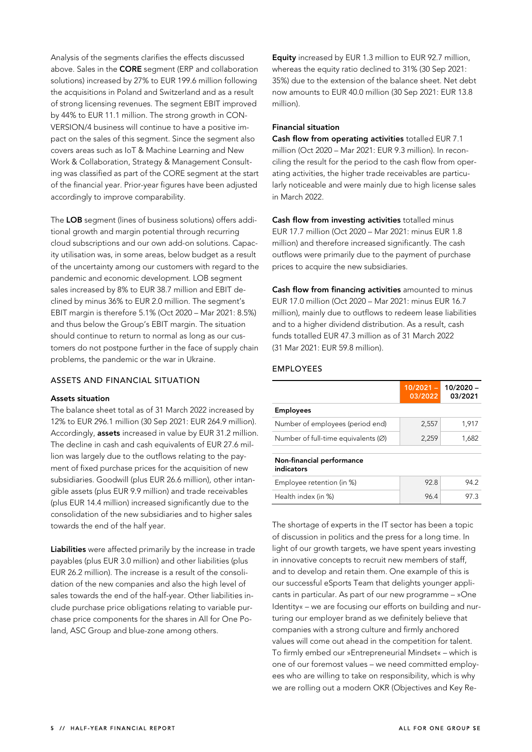Analysis of the segments clarifies the effects discussed above. Sales in the **CORE** segment (ERP and collaboration solutions) increased by 27% to EUR 199.6 million following the acquisitions in Poland and Switzerland and as a result of strong licensing revenues. The segment EBIT improved by 44% to EUR 11.1 million. The strong growth in CON-VERSION/4 business will continue to have a positive impact on the sales of this segment. Since the segment also covers areas such as IoT & Machine Learning and New Work & Collaboration, Strategy & Management Consulting was classified as part of the CORE segment at the start of the financial year. Prior-year figures have been adjusted accordingly to improve comparability.

The **LOB** segment (lines of business solutions) offers additional growth and margin potential through recurring cloud subscriptions and our own add-on solutions. Capacity utilisation was, in some areas, below budget as a result of the uncertainty among our customers with regard to the pandemic and economic development. LOB segment sales increased by 8% to EUR 38.7 million and EBIT declined by minus 36% to EUR 2.0 million. The segment's EBIT margin is therefore 5.1% (Oct 2020 – Mar 2021: 8.5%) and thus below the Group's EBIT margin. The situation should continue to return to normal as long as our customers do not postpone further in the face of supply chain problems, the pandemic or the war in Ukraine.

### **ASSETS AND FINANCIAL SITUATION**

### **Assets situation**

The balance sheet total as of 31 March 2022 increased by 12% to EUR 296.1 million (30 Sep 2021: EUR 264.9 million). Accordingly, **assets** increased in value by EUR 31.2 million. The decline in cash and cash equivalents of EUR 27.6 million was largely due to the outflows relating to the payment of fixed purchase prices for the acquisition of new subsidiaries. Goodwill (plus EUR 26.6 million), other intangible assets (plus EUR 9.9 million) and trade receivables (plus EUR 14.4 million) increased significantly due to the consolidation of the new subsidiaries and to higher sales towards the end of the half year.

**Liabilities** were affected primarily by the increase in trade payables (plus EUR 3.0 million) and other liabilities (plus EUR 26.2 million). The increase is a result of the consolidation of the new companies and also the high level of sales towards the end of the half-year. Other liabilities include purchase price obligations relating to variable purchase price components for the shares in All for One Poland, ASC Group and blue-zone among others.

**Equity** increased by EUR 1.3 million to EUR 92.7 million, whereas the equity ratio declined to 31% (30 Sep 2021: 35%) due to the extension of the balance sheet. Net debt now amounts to EUR 40.0 million (30 Sep 2021: EUR 13.8 million).

### **Financial situation**

**Cash flow from operating activities** totalled EUR 7.1 million (Oct 2020 – Mar 2021: EUR 9.3 million). In reconciling the result for the period to the cash flow from operating activities, the higher trade receivables are particularly noticeable and were mainly due to high license sales in March 2022.

**Cash flow from investing activities** totalled minus EUR 17.7 million (Oct 2020 – Mar 2021: minus EUR 1.8 million) and therefore increased significantly. The cash outflows were primarily due to the payment of purchase prices to acquire the new subsidiaries.

**Cash flow from financing activities** amounted to minus EUR 17.0 million (Oct 2020 – Mar 2021: minus EUR 16.7 million), mainly due to outflows to redeem lease liabilities and to a higher dividend distribution. As a result, cash funds totalled EUR 47.3 million as of 31 March 2022 (31 Mar 2021: EUR 59.8 million).

### **EMPLOYEES**

|                                               | $10/2021 -$<br>03/2022 | $10/2020 -$<br>03/2021 |
|-----------------------------------------------|------------------------|------------------------|
| <b>Employees</b>                              |                        |                        |
| Number of employees (period end)              | 2,557                  | 1.917                  |
| Number of full-time equivalents $(\emptyset)$ | 2,259                  | 1,682                  |
| Non-financial performance<br>indicators       |                        |                        |
| Employee retention (in %)                     | 928                    | 94 2                   |
| Health index (in %)                           | 96.4                   | 97 3                   |

The shortage of experts in the IT sector has been a topic of discussion in politics and the press for a long time. In light of our growth targets, we have spent years investing in innovative concepts to recruit new members of staff, and to develop and retain them. One example of this is our successful eSports Team that delights younger applicants in particular. As part of our new programme – »One Identity« – we are focusing our efforts on building and nurturing our employer brand as we definitely believe that companies with a strong culture and firmly anchored values will come out ahead in the competition for talent. To firmly embed our »Entrepreneurial Mindset« – which is one of our foremost values – we need committed employees who are willing to take on responsibility, which is why we are rolling out a modern OKR (Objectives and Key Re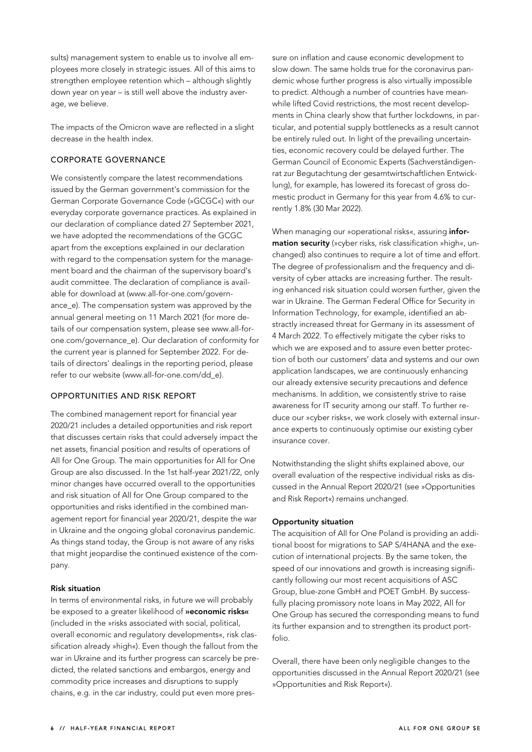sults) management system to enable us to involve all employees more closely in strategic issues. All of this aims to strengthen employee retention which – although slightly down year on year – is still well above the industry average, we believe.

The impacts of the Omicron wave are reflected in a slight decrease in the health index.

### **CORPORATE GOVERNANCE**

We consistently compare the latest recommendations issued by the German government's commission for the German Corporate Governance Code (»GCGC«) with our everyday corporate governance practices. As explained in our declaration of compliance dated 27 September 2021, we have adopted the recommendations of the GCGC apart from the exceptions explained in our declaration with regard to the compensation system for the management board and the chairman of the supervisory board's audit committee. The declaration of compliance is available for download at (www.all-for-one.com/governance\_e). The compensation system was approved by the annual general meeting on 11 March 2021 (for more details of our compensation system, please see www.all-forone.com/governance\_e). Our declaration of conformity for the current year is planned for September 2022. For details of directors' dealings in the reporting period, please refer to our website (www.all-for-one.com/dd\_e).

### **OPPORTUNITIES AND RISK REPORT**

The combined management report for financial year 2020/21 includes a detailed opportunities and risk report that discusses certain risks that could adversely impact the net assets, financial position and results of operations of All for One Group. The main opportunities for All for One Group are also discussed. In the 1st half-year 2021/22, only minor changes have occurred overall to the opportunities and risk situation of All for One Group compared to the opportunities and risks identified in the combined management report for financial year 2020/21, despite the war in Ukraine and the ongoing global coronavirus pandemic. As things stand today, the Group is not aware of any risks that might jeopardise the continued existence of the company.

### **Risk situation**

In terms of environmental risks, in future we will probably be exposed to a greater likelihood of **»economic risks«** (included in the »risks associated with social, political, overall economic and regulatory developments«, risk classification already »high«). Even though the fallout from the war in Ukraine and its further progress can scarcely be predicted, the related sanctions and embargos, energy and commodity price increases and disruptions to supply chains, e.g. in the car industry, could put even more pressure on inflation and cause economic development to slow down. The same holds true for the coronavirus pandemic whose further progress is also virtually impossible to predict. Although a number of countries have meanwhile lifted Covid restrictions, the most recent developments in China clearly show that further lockdowns, in particular, and potential supply bottlenecks as a result cannot be entirely ruled out. In light of the prevailing uncertainties, economic recovery could be delayed further. The German Council of Economic Experts (Sachverständigenrat zur Begutachtung der gesamtwirtschaftlichen Entwicklung), for example, has lowered its forecast of gross domestic product in Germany for this year from 4.6% to currently 1.8% (30 Mar 2022).

When managing our »operational risks«, assuring **information security** (»cyber risks, risk classification »high«, unchanged) also continues to require a lot of time and effort. The degree of professionalism and the frequency and diversity of cyber attacks are increasing further. The resulting enhanced risk situation could worsen further, given the war in Ukraine. The German Federal Office for Security in Information Technology, for example, identified an abstractly increased threat for Germany in its assessment of 4 March 2022. To effectively mitigate the cyber risks to which we are exposed and to assure even better protection of both our customers' data and systems and our own application landscapes, we are continuously enhancing our already extensive security precautions and defence mechanisms. In addition, we consistently strive to raise awareness for IT security among our staff. To further reduce our »cyber risks«, we work closely with external insurance experts to continuously optimise our existing cyber insurance cover.

Notwithstanding the slight shifts explained above, our overall evaluation of the respective individual risks as discussed in the Annual Report 2020/21 (see »Opportunities and Risk Report«) remains unchanged.

### **Opportunity situation**

The acquisition of All for One Poland is providing an additional boost for migrations to SAP S/4HANA and the execution of international projects. By the same token, the speed of our innovations and growth is increasing significantly following our most recent acquisitions of ASC Group, blue-zone GmbH and POET GmbH. By successfully placing promissory note loans in May 2022, All for One Group has secured the corresponding means to fund its further expansion and to strengthen its product portfolio.

Overall, there have been only negligible changes to the opportunities discussed in the Annual Report 2020/21 (see »Opportunities and Risk Report«).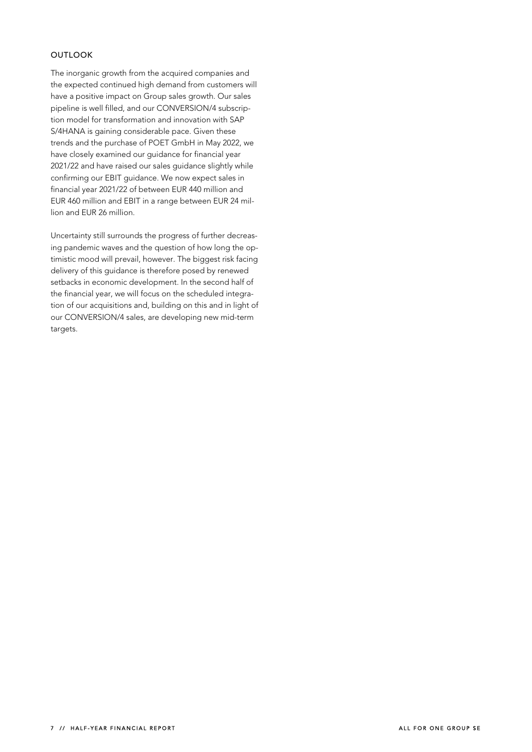### **OUTLOOK**

The inorganic growth from the acquired companies and the expected continued high demand from customers will have a positive impact on Group sales growth. Our sales pipeline is well filled, and our CONVERSION/4 subscription model for transformation and innovation with SAP S/4HANA is gaining considerable pace. Given these trends and the purchase of POET GmbH in May 2022, we have closely examined our guidance for financial year 2021/22 and have raised our sales guidance slightly while confirming our EBIT guidance. We now expect sales in financial year 2021/22 of between EUR 440 million and EUR 460 million and EBIT in a range between EUR 24 million and EUR 26 million.

Uncertainty still surrounds the progress of further decreasing pandemic waves and the question of how long the optimistic mood will prevail, however. The biggest risk facing delivery of this guidance is therefore posed by renewed setbacks in economic development. In the second half of the financial year, we will focus on the scheduled integration of our acquisitions and, building on this and in light of our CONVERSION/4 sales, are developing new mid-term targets.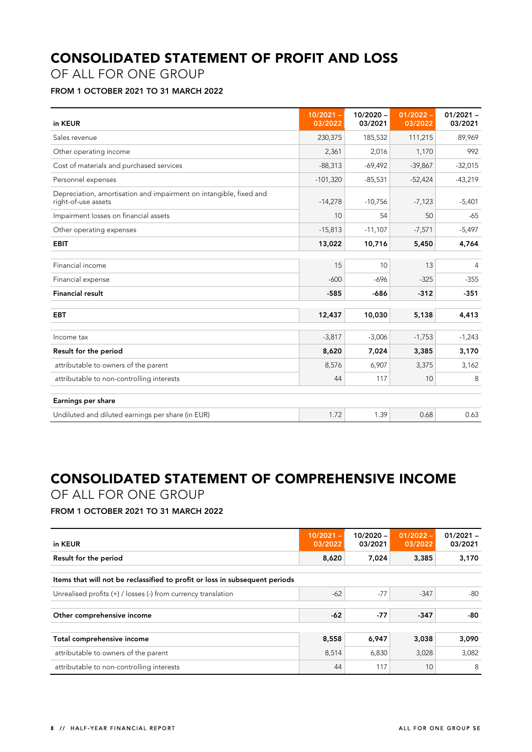## **CONSOLIDATED STATEMENT OF PROFIT AND LOSS**

OF ALL FOR ONE GROUP

### **FROM 1 OCTOBER 2021 TO 31 MARCH 2022**

| in KEUR                                                                                   | $10/2021 -$<br>03/2022 | $10/2020 -$<br>03/2021 | $01/2022 -$<br>03/2022 | $01/2021 -$<br>03/2021 |
|-------------------------------------------------------------------------------------------|------------------------|------------------------|------------------------|------------------------|
| Sales revenue                                                                             | 230,375                | 185,532                | 111,215                | 89,969                 |
| Other operating income                                                                    | 2,361                  | 2,016                  | 1,170                  | 992                    |
| Cost of materials and purchased services                                                  | $-88,313$              | $-69,492$              | $-39,867$              | $-32,015$              |
| Personnel expenses                                                                        | $-101,320$             | $-85,531$              | $-52,424$              | $-43,219$              |
| Depreciation, amortisation and impairment on intangible, fixed and<br>right-of-use assets | $-14,278$              | $-10,756$              | $-7,123$               | $-5,401$               |
| Impairment losses on financial assets                                                     | 10                     | 54                     | 50                     | $-65$                  |
| Other operating expenses                                                                  | $-15,813$              | $-11,107$              | $-7,571$               | $-5,497$               |
| <b>EBIT</b>                                                                               | 13,022                 | 10,716                 | 5,450                  | 4,764                  |
|                                                                                           |                        |                        |                        |                        |
| Financial income                                                                          | 15                     | 10                     | 13                     | 4                      |
| Financial expense                                                                         | $-600$                 | $-696$                 | $-325$                 | $-355$                 |
| <b>Financial result</b>                                                                   | $-585$                 | -686                   | $-312$                 | $-351$                 |
| <b>EBT</b>                                                                                | 12,437                 | 10,030                 | 5,138                  | 4,413                  |
| Income tax                                                                                | $-3,817$               | $-3,006$               | $-1,753$               | $-1,243$               |
| Result for the period                                                                     | 8,620                  | 7,024                  | 3,385                  | 3,170                  |
| attributable to owners of the parent                                                      | 8,576                  | 6,907                  | 3,375                  | 3,162                  |
| attributable to non-controlling interests                                                 | 44                     | 117                    | 10                     | 8                      |
| Earnings per share                                                                        |                        |                        |                        |                        |
| Undiluted and diluted earnings per share (in EUR)                                         | 1.72                   | 1.39                   | 0.68                   | 0.63                   |

# **CONSOLIDATED STATEMENT OF COMPREHENSIVE INCOME**

OF ALL FOR ONE GROUP

**FROM 1 OCTOBER 2021 TO 31 MARCH 2022** 

| in KEUR                                                                     | $10/2021 -$<br>03/2022 | $10/2020 -$<br>03/2021 | $01/2022 -$<br>03/2022 | $01/2021 -$<br>03/2021 |
|-----------------------------------------------------------------------------|------------------------|------------------------|------------------------|------------------------|
| Result for the period                                                       | 8,620                  | 7,024                  | 3,385                  | 3,170                  |
| Items that will not be reclassified to profit or loss in subsequent periods |                        |                        |                        |                        |
| Unrealised profits $(+)$ / losses (-) from currency translation             | $-62$                  | $-77$                  | $-347$                 | -80                    |
| Other comprehensive income                                                  | $-62$                  | $-77$                  | $-347$                 | -80                    |
|                                                                             |                        |                        |                        |                        |
| Total comprehensive income                                                  | 8,558                  | 6,947                  | 3,038                  | 3.090                  |
| attributable to owners of the parent                                        | 8,514                  | 6,830                  | 3,028                  | 3,082                  |
| attributable to non-controlling interests                                   | 44                     | 117                    | 10                     | 8                      |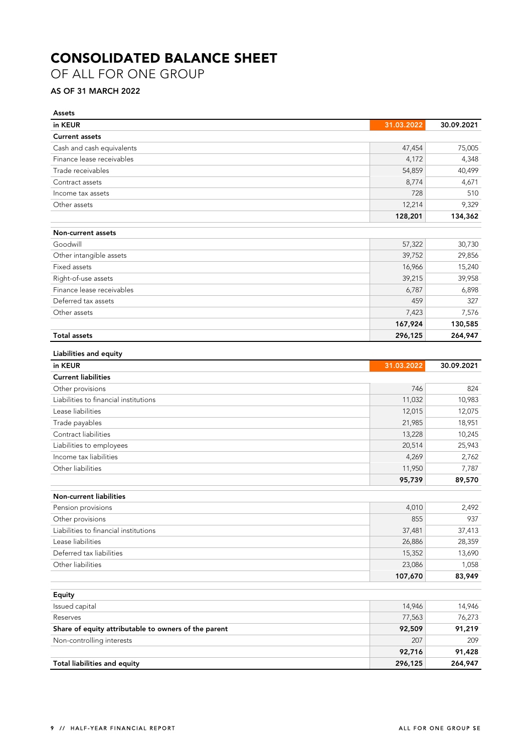# **CONSOLIDATED BALANCE SHEET**

OF ALL FOR ONE GROUP

### **AS OF 31 MARCH 2022**

| <b>Assets</b>                                        |                   |                   |
|------------------------------------------------------|-------------------|-------------------|
| in KEUR                                              | 31.03.2022        | 30.09.2021        |
| <b>Current assets</b>                                |                   |                   |
| Cash and cash equivalents                            | 47,454            | 75,005            |
| Finance lease receivables                            | 4,172             | 4,348             |
| Trade receivables                                    | 54,859            | 40,499            |
| Contract assets                                      | 8,774             | 4,671             |
| Income tax assets                                    | 728               | 510               |
| Other assets                                         | 12,214            | 9,329             |
|                                                      | 128,201           | 134,362           |
| Non-current assets                                   |                   |                   |
| Goodwill                                             | 57,322            | 30,730            |
| Other intangible assets                              | 39,752            | 29,856            |
| Fixed assets                                         | 16,966            | 15,240            |
| Right-of-use assets                                  | 39,215            | 39,958            |
| Finance lease receivables                            | 6,787             | 6,898             |
| Deferred tax assets                                  | 459               | 327               |
| Other assets                                         | 7,423             | 7,576             |
|                                                      | 167,924           | 130,585           |
| <b>Total assets</b>                                  | 296,125           | 264,947           |
| Liabilities and equity                               |                   |                   |
| in KEUR                                              | 31.03.2022        | 30.09.2021        |
| <b>Current liabilities</b>                           |                   |                   |
| Other provisions                                     | 746               | 824               |
| Liabilities to financial institutions                | 11,032            | 10,983            |
| Lease liabilities                                    | 12,015            | 12,075            |
| Trade payables                                       | 21,985            | 18,951            |
| Contract liabilities                                 | 13,228            | 10,245            |
| Liabilities to employees                             | 20,514            | 25,943            |
| Income tax liabilities                               | 4,269             | 2,762             |
| Other liabilities                                    | 11,950            | 7,787             |
|                                                      | 95,739            | 89,570            |
| <b>Non-current liabilities</b>                       |                   |                   |
| Pension provisions                                   | 4,010             | 2,492             |
| Other provisions                                     | 855               | 937               |
| Liabilities to financial institutions                | 37,481            | 37,413            |
| Lease liabilities                                    | 26,886            | 28,359            |
| Deferred tax liabilities                             | 15,352            | 13,690            |
| Other liabilities                                    | 23,086            | 1,058             |
|                                                      | 107,670           | 83,949            |
|                                                      |                   |                   |
| Equity                                               |                   |                   |
| Issued capital                                       | 14,946            | 14,946            |
| Reserves                                             | 77,563            | 76,273            |
| Share of equity attributable to owners of the parent | 92,509            | 91,219            |
| Non-controlling interests                            | 207               | 209               |
| Total liabilities and equity                         | 92,716<br>296,125 | 91,428<br>264,947 |
|                                                      |                   |                   |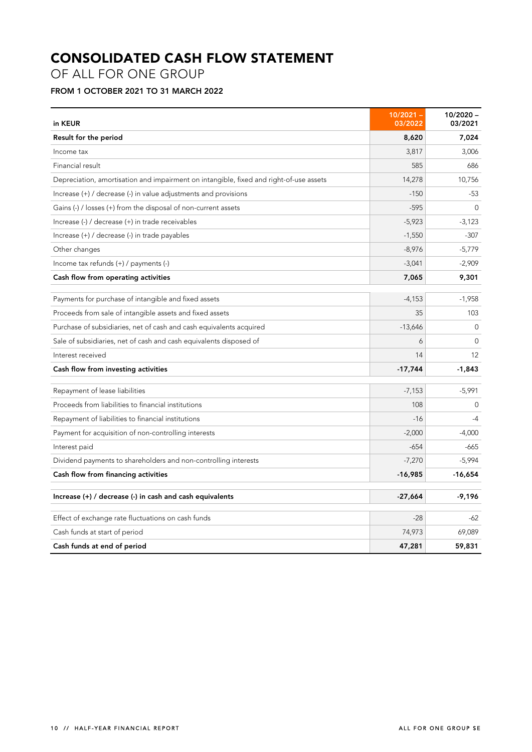# **CONSOLIDATED CASH FLOW STATEMENT**

OF ALL FOR ONE GROUP

### **FROM 1 OCTOBER 2021 TO 31 MARCH 2022**

| in KEUR                                                                                | $10/2021 -$<br>03/2022 | $10/2020 -$<br>03/2021 |
|----------------------------------------------------------------------------------------|------------------------|------------------------|
| Result for the period                                                                  | 8,620                  | 7,024                  |
| Income tax                                                                             | 3,817                  | 3,006                  |
| Financial result                                                                       | 585                    | 686                    |
| Depreciation, amortisation and impairment on intangible, fixed and right-of-use assets | 14,278                 | 10,756                 |
| Increase (+) / decrease (-) in value adjustments and provisions                        | $-150$                 | $-53$                  |
| Gains (-) / losses (+) from the disposal of non-current assets                         | $-595$                 | $\Omega$               |
| Increase (-) / decrease (+) in trade receivables                                       | $-5,923$               | $-3,123$               |
| Increase $(+)$ / decrease $(-)$ in trade payables                                      | $-1,550$               | $-307$                 |
| Other changes                                                                          | $-8,976$               | $-5,779$               |
| Income tax refunds (+) / payments (-)                                                  | $-3,041$               | $-2,909$               |
| Cash flow from operating activities                                                    | 7,065                  | 9,301                  |
| Payments for purchase of intangible and fixed assets                                   | $-4,153$               | $-1,958$               |
| Proceeds from sale of intangible assets and fixed assets                               | 35                     | 103                    |
| Purchase of subsidiaries, net of cash and cash equivalents acquired                    | $-13,646$              | $\Omega$               |
| Sale of subsidiaries, net of cash and cash equivalents disposed of                     | 6                      | $\Omega$               |
| Interest received                                                                      | 14                     | 12                     |
| Cash flow from investing activities                                                    | $-17,744$              | $-1,843$               |
| Repayment of lease liabilities                                                         | $-7,153$               | $-5,991$               |
| Proceeds from liabilities to financial institutions                                    | 108                    | $\Omega$               |
| Repayment of liabilities to financial institutions                                     | $-16$                  | $-4$                   |
| Payment for acquisition of non-controlling interests                                   | $-2,000$               | $-4,000$               |
| Interest paid                                                                          | $-654$                 | -665                   |
| Dividend payments to shareholders and non-controlling interests                        | $-7,270$               | $-5,994$               |
| Cash flow from financing activities                                                    | $-16,985$              | $-16,654$              |
| Increase (+) / decrease (-) in cash and cash equivalents                               | $-27,664$              | $-9,196$               |
| Effect of exchange rate fluctuations on cash funds                                     | $-28$                  | -62                    |
| Cash funds at start of period                                                          | 74,973                 | 69,089                 |
| Cash funds at end of period                                                            | 47,281                 | 59,831                 |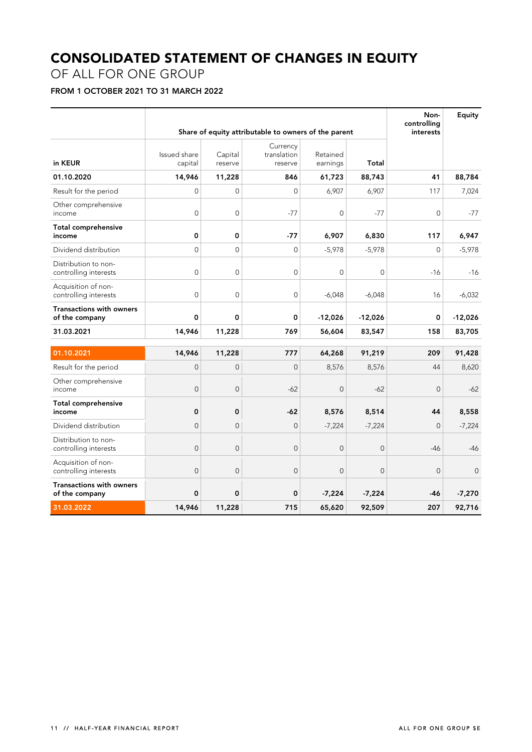# **CONSOLIDATED STATEMENT OF CHANGES IN EQUITY**

### OF ALL FOR ONE GROUP

### **FROM 1 OCTOBER 2021 TO 31 MARCH 2022**

|                                                   |                         |                    | Share of equity attributable to owners of the parent |                      |                | Non-<br>controlling<br>interests | <b>Equity</b> |
|---------------------------------------------------|-------------------------|--------------------|------------------------------------------------------|----------------------|----------------|----------------------------------|---------------|
| in KEUR                                           | Issued share<br>capital | Capital<br>reserve | Currency<br>translation<br>reserve                   | Retained<br>earnings | Total          |                                  |               |
| 01.10.2020                                        | 14,946                  | 11,228             | 846                                                  | 61,723               | 88,743         | 41                               | 88,784        |
| Result for the period                             | $\Omega$                | $\Omega$           | $\Omega$                                             | 6,907                | 6,907          | 117                              | 7,024         |
| Other comprehensive<br>income                     | $\mathbf{0}$            | $\mathbf 0$        | $-77$                                                | $\mathbf{0}$         | $-77$          | 0                                | $-77$         |
| Total comprehensive<br>income                     | 0                       | 0                  | $-77$                                                | 6,907                | 6,830          | 117                              | 6,947         |
| Dividend distribution                             | $\overline{0}$          | $\mathbf 0$        | $\mathbf 0$                                          | $-5,978$             | $-5,978$       | $\overline{0}$                   | $-5,978$      |
| Distribution to non-<br>controlling interests     | $\mathbf{0}$            | $\mathbf 0$        | $\overline{0}$                                       | $\mathbf{0}$         | $\mathbf{0}$   | -16                              | $-16$         |
| Acquisition of non-<br>controlling interests      | $\overline{0}$          | $\mathbf 0$        | $\mathbf 0$                                          | $-6,048$             | $-6,048$       | 16                               | $-6,032$      |
| Transactions with owners<br>of the company        | 0                       | $\mathbf 0$        | 0                                                    | $-12,026$            | $-12,026$      | 0                                | $-12,026$     |
| 31.03.2021                                        | 14,946                  | 11,228             | 769                                                  | 56,604               | 83,547         | 158                              | 83,705        |
| 01.10.2021                                        | 14,946                  | 11,228             | 777                                                  | 64,268               | 91,219         | 209                              | 91,428        |
| Result for the period                             | $\mathbf 0$             | $\mathbf 0$        | $\overline{0}$                                       | 8,576                | 8,576          | 44                               | 8,620         |
| Other comprehensive<br>income                     | $\mathbf 0$             | $\mathbf 0$        | $-62$                                                | $\mathbf 0$          | $-62$          | $\mathbf 0$                      | $-62$         |
| <b>Total comprehensive</b><br>income              | $\mathbf 0$             | $\pmb{\mathsf{O}}$ | $-62$                                                | 8,576                | 8,514          | 44                               | 8,558         |
| Dividend distribution                             | $\Omega$                | $\overline{0}$     | $\overline{0}$                                       | $-7,224$             | $-7,224$       | $\overline{0}$                   | $-7,224$      |
| Distribution to non-<br>controlling interests     | $\overline{0}$          | $\overline{0}$     | $\overline{0}$                                       | $\overline{0}$       | $\overline{0}$ | $-46$                            | $-46$         |
| Acquisition of non-<br>controlling interests      | $\overline{0}$          | $\overline{0}$     | $\overline{0}$                                       | $\overline{0}$       | $\overline{0}$ | $\mathbf 0$                      | $\mathbf{0}$  |
| <b>Transactions with owners</b><br>of the company | 0                       | 0                  | 0                                                    | $-7,224$             | $-7,224$       | -46                              | $-7,270$      |
| 31.03.2022                                        | 14,946                  | 11,228             | 715                                                  | 65,620               | 92,509         | 207                              | 92,716        |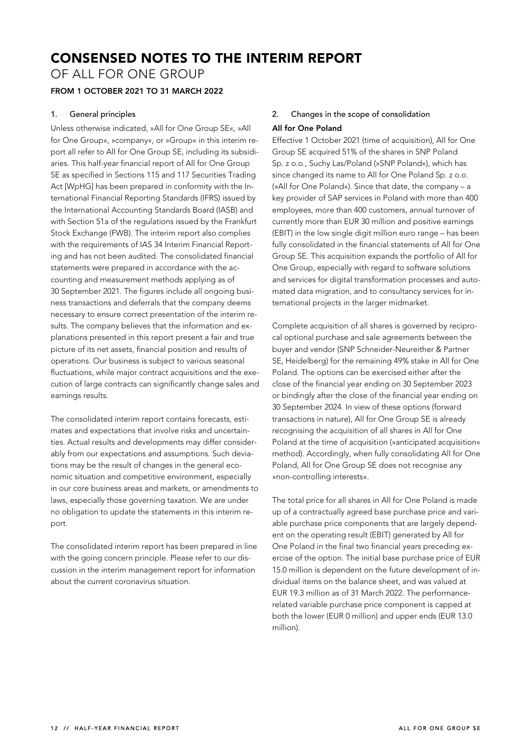## **CONSENSED NOTES TO THE INTERIM REPORT**

OF ALL FOR ONE GROUP

### **FROM 1 OCTOBER 2021 TO 31 MARCH 2022**

### **1. General principles**

Unless otherwise indicated, »All for One Group SE«, »All for One Group«, »company«, or »Group« in this interim report all refer to All for One Group SE, including its subsidiaries. This half-year financial report of All for One Group SE as specified in Sections 115 and 117 Securities Trading Act [WpHG] has been prepared in conformity with the International Financial Reporting Standards (IFRS) issued by the International Accounting Standards Board (IASB) and with Section 51a of the regulations issued by the Frankfurt Stock Exchange (FWB). The interim report also complies with the requirements of IAS 34 Interim Financial Reporting and has not been audited. The consolidated financial statements were prepared in accordance with the accounting and measurement methods applying as of 30 September 2021. The figures include all ongoing business transactions and deferrals that the company deems necessary to ensure correct presentation of the interim results. The company believes that the information and explanations presented in this report present a fair and true picture of its net assets, financial position and results of operations. Our business is subject to various seasonal fluctuations, while major contract acquisitions and the execution of large contracts can significantly change sales and earnings results.

The consolidated interim report contains forecasts, estimates and expectations that involve risks and uncertainties. Actual results and developments may differ considerably from our expectations and assumptions. Such deviations may be the result of changes in the general economic situation and competitive environment, especially in our core business areas and markets, or amendments to laws, especially those governing taxation. We are under no obligation to update the statements in this interim report.

The consolidated interim report has been prepared in line with the going concern principle. Please refer to our discussion in the interim management report for information about the current coronavirus situation.

### **2. Changes in the scope of consolidation All for One Poland**

Effective 1 October 2021 (time of acquisition), All for One Group SE acquired 51% of the shares in SNP Poland Sp. z o.o., Suchy Las/Poland (»SNP Poland«), which has since changed its name to All for One Poland Sp. z o.o. (»All for One Poland«). Since that date, the company – a key provider of SAP services in Poland with more than 400 employees, more than 400 customers, annual turnover of currently more than EUR 30 million and positive earnings (EBIT) in the low single digit million euro range – has been fully consolidated in the financial statements of All for One Group SE. This acquisition expands the portfolio of All for One Group, especially with regard to software solutions and services for digital transformation processes and automated data migration, and to consultancy services for international projects in the larger midmarket.

Complete acquisition of all shares is governed by reciprocal optional purchase and sale agreements between the buyer and vendor (SNP Schneider-Neureither & Partner SE, Heidelberg) for the remaining 49% stake in All for One Poland. The options can be exercised either after the close of the financial year ending on 30 September 2023 or bindingly after the close of the financial year ending on 30 September 2024. In view of these options (forward transactions in nature), All for One Group SE is already recognising the acquisition of all shares in All for One Poland at the time of acquisition (»anticipated acquisition« method). Accordingly, when fully consolidating All for One Poland, All for One Group SE does not recognise any »non-controlling interests«.

The total price for all shares in All for One Poland is made up of a contractually agreed base purchase price and variable purchase price components that are largely dependent on the operating result (EBIT) generated by All for One Poland in the final two financial years preceding exercise of the option. The initial base purchase price of EUR 15.0 million is dependent on the future development of individual items on the balance sheet, and was valued at EUR 19.3 million as of 31 March 2022. The performancerelated variable purchase price component is capped at both the lower (EUR 0 million) and upper ends (EUR 13.0 million).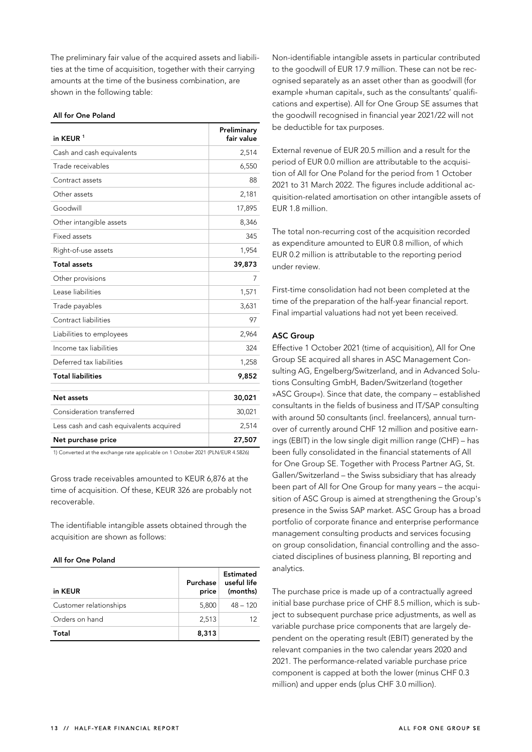The preliminary fair value of the acquired assets and liabilities at the time of acquisition, together with their carrying amounts at the time of the business combination, are shown in the following table:

#### **All for One Poland**

| in KEUR <sup>1</sup>                    | Preliminary<br>fair value |
|-----------------------------------------|---------------------------|
| Cash and cash equivalents               | 2,514                     |
| Trade receivables                       | 6,550                     |
| Contract assets                         | 88                        |
| Other assets                            | 2,181                     |
| Goodwill                                | 17,895                    |
| Other intangible assets                 | 8,346                     |
| Fixed assets                            | 345                       |
| Right-of-use assets                     | 1,954                     |
| <b>Total assets</b>                     | 39,873                    |
| Other provisions                        | 7                         |
| Lease liabilities                       | 1,571                     |
| Trade payables                          | 3,631                     |
| Contract liabilities                    | 97                        |
| Liabilities to employees                | 2,964                     |
| Income tax liabilities                  | 324                       |
| Deferred tax liabilities                | 1,258                     |
| <b>Total liabilities</b>                | 9,852                     |
|                                         |                           |
| Net assets                              | 30,021                    |
| Consideration transferred               | 30,021                    |
| Less cash and cash equivalents acquired | 2,514                     |
| Net purchase price                      | 27,507                    |

1) Converted at the exchange rate applicable on 1 October 2021 (PLN/EUR 4.5826)

Gross trade receivables amounted to KEUR 6,876 at the time of acquisition. Of these, KEUR 326 are probably not recoverable.

The identifiable intangible assets obtained through the acquisition are shown as follows:

### **All for One Poland**

| in KEUR                | Purchase<br>price | Estimated<br>useful life<br>(months) |
|------------------------|-------------------|--------------------------------------|
| Customer relationships | 5,800             | $48 - 120$                           |
| Orders on hand         | 2.513             | 12                                   |
| Total                  | 8,313             |                                      |

Non-identifiable intangible assets in particular contributed to the goodwill of EUR 17.9 million. These can not be recognised separately as an asset other than as goodwill (for example »human capital«, such as the consultants' qualifications and expertise). All for One Group SE assumes that the goodwill recognised in financial year 2021/22 will not be deductible for tax purposes.

External revenue of EUR 20.5 million and a result for the period of EUR 0.0 million are attributable to the acquisition of All for One Poland for the period from 1 October 2021 to 31 March 2022. The figures include additional acquisition-related amortisation on other intangible assets of EUR 1.8 million.

The total non-recurring cost of the acquisition recorded as expenditure amounted to EUR 0.8 million, of which EUR 0.2 million is attributable to the reporting period under review.

First-time consolidation had not been completed at the time of the preparation of the half-year financial report. Final impartial valuations had not yet been received.

### **ASC Group**

Effective 1 October 2021 (time of acquisition), All for One Group SE acquired all shares in ASC Management Consulting AG, Engelberg/Switzerland, and in Advanced Solutions Consulting GmbH, Baden/Switzerland (together »ASC Group«). Since that date, the company – established consultants in the fields of business and IT/SAP consulting with around 50 consultants (incl. freelancers), annual turnover of currently around CHF 12 million and positive earnings (EBIT) in the low single digit million range (CHF) – has been fully consolidated in the financial statements of All for One Group SE. Together with Process Partner AG, St. Gallen/Switzerland – the Swiss subsidiary that has already been part of All for One Group for many years – the acquisition of ASC Group is aimed at strengthening the Group's presence in the Swiss SAP market. ASC Group has a broad portfolio of corporate finance and enterprise performance management consulting products and services focusing on group consolidation, financial controlling and the associated disciplines of business planning, BI reporting and analytics.

The purchase price is made up of a contractually agreed initial base purchase price of CHF 8.5 million, which is subject to subsequent purchase price adjustments, as well as variable purchase price components that are largely dependent on the operating result (EBIT) generated by the relevant companies in the two calendar years 2020 and 2021. The performance-related variable purchase price component is capped at both the lower (minus CHF 0.3 million) and upper ends (plus CHF 3.0 million).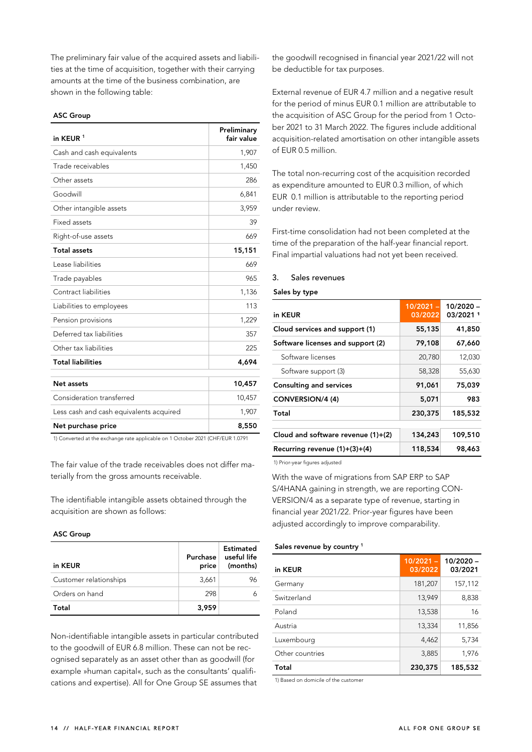The preliminary fair value of the acquired assets and liabilities at the time of acquisition, together with their carrying amounts at the time of the business combination, are shown in the following table:

### **ASC Group**

| in KEUR <sup>1</sup>                    | Preliminary<br>fair value |
|-----------------------------------------|---------------------------|
| Cash and cash equivalents               | 1,907                     |
| Trade receivables                       | 1,450                     |
| Other assets                            | 286                       |
| Goodwill                                | 6,841                     |
| Other intangible assets                 | 3,959                     |
| Fixed assets                            | 39                        |
| Right-of-use assets                     | 669                       |
| <b>Total assets</b>                     | 15,151                    |
| Lease liabilities                       | 669                       |
| Trade payables                          | 965                       |
| Contract liabilities                    | 1,136                     |
| Liabilities to employees                | 113                       |
| Pension provisions                      | 1,229                     |
| Deferred tax liabilities                | 357                       |
| Other tax liabilities                   | 225                       |
| <b>Total liabilities</b>                | 4,694                     |
| Net assets                              | 10,457                    |
| Consideration transferred               | 10,457                    |
| Less cash and cash equivalents acquired | 1,907                     |
| Net purchase price                      | 8,550                     |

1) Converted at the exchange rate applicable on 1 October 2021 (CHF/EUR 1.0791

The fair value of the trade receivables does not differ materially from the gross amounts receivable.

The identifiable intangible assets obtained through the acquisition are shown as follows:

### **ASC Group**

| in KEUR                | Purchase<br>price | Estimated<br>useful life<br>(months) |
|------------------------|-------------------|--------------------------------------|
| Customer relationships | 3.661             | 96                                   |
| Orders on hand         | 298               |                                      |
| Total                  | 3,959             |                                      |

Non-identifiable intangible assets in particular contributed to the goodwill of EUR 6.8 million. These can not be recognised separately as an asset other than as goodwill (for example »human capital«, such as the consultants' qualifications and expertise). All for One Group SE assumes that

the goodwill recognised in financial year 2021/22 will not be deductible for tax purposes.

External revenue of EUR 4.7 million and a negative result for the period of minus EUR 0.1 million are attributable to the acquisition of ASC Group for the period from 1 October 2021 to 31 March 2022. The figures include additional acquisition-related amortisation on other intangible assets of EUR 0.5 million.

The total non-recurring cost of the acquisition recorded as expenditure amounted to EUR 0.3 million, of which EUR 0.1 million is attributable to the reporting period under review.

First-time consolidation had not been completed at the time of the preparation of the half-year financial report. Final impartial valuations had not yet been received.

### **3. Sales revenues**

### **Sales by type**

| in KEUR                              | $10/2021 -$<br>03/2022 | 10/2020 -<br>03/2021 1 |
|--------------------------------------|------------------------|------------------------|
| Cloud services and support (1)       | 55,135                 | 41,850                 |
| Software licenses and support (2)    | 79,108                 | 67,660                 |
| Software licenses                    | 20,780                 | 12,030                 |
| Software support (3)                 | 58,328                 | 55,630                 |
| <b>Consulting and services</b>       | 91,061                 | 75,039                 |
| CONVERSION/4 (4)                     | 5.071                  | 983                    |
| Total                                | 230,375                | 185,532                |
| Cloud and software revenue $(1)+(2)$ | 134,243                | 109,510                |
| Recurring revenue $(1)+(3)+(4)$      | 118,534                | 98,463                 |

1) Prior-year figures adjusted

With the wave of migrations from SAP ERP to SAP S/4HANA gaining in strength, we are reporting CON-VERSION/4 as a separate type of revenue, starting in financial year 2021/22. Prior-year figures have been adjusted accordingly to improve comparability.

#### **Sales revenue by country 1**

| in KEUR         | $10/2021 -$<br>03/2022 | 10/2020 -<br>03/2021 |
|-----------------|------------------------|----------------------|
| Germany         | 181,207                | 157,112              |
| Switzerland     | 13,949                 | 8,838                |
| Poland          | 13,538                 | 16                   |
| Austria         | 13,334                 | 11,856               |
| Luxembourg      | 4,462                  | 5,734                |
| Other countries | 3,885                  | 1,976                |
| Total           | 230,375                | 185,532              |

1) Based on domicile of the customer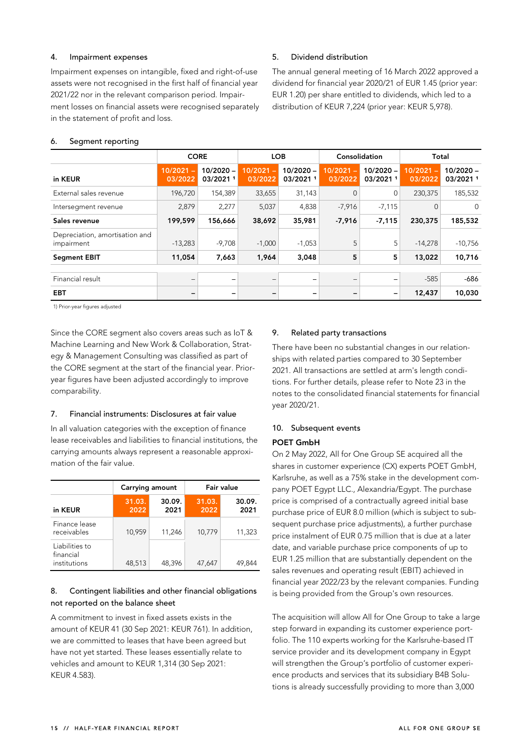### **4. Impairment expenses**

Impairment expenses on intangible, fixed and right-of-use assets were not recognised in the first half of financial year 2021/22 nor in the relevant comparison period. Impairment losses on financial assets were recognised separately in the statement of profit and loss.

### **5. Dividend distribution**

The annual general meeting of 16 March 2022 approved a dividend for financial year 2020/21 of EUR 1.45 (prior year: EUR 1.20) per share entitled to dividends, which led to a distribution of KEUR 7,224 (prior year: KEUR 5,978).

### **6. Segment reporting**

|                                              | <b>CORE</b>            |                          | <b>LOB</b>               |                         | Consolidation            |                         | Total                  |                          |
|----------------------------------------------|------------------------|--------------------------|--------------------------|-------------------------|--------------------------|-------------------------|------------------------|--------------------------|
| in KEUR                                      | $10/2021 -$<br>03/2022 | $10/2020 -$<br>03/2021 1 | $10/2021 -$<br>03/2022   | $10/2020 -$<br>03/20211 | $10/2021 -$<br>03/2022   | $10/2020 -$<br>03/20211 | $10/2021 -$<br>03/2022 | $10/2020 -$<br>03/2021 1 |
| External sales revenue                       | 196,720                | 154,389                  | 33,655                   | 31,143                  | $\mathbf{0}$             | 0                       | 230,375                | 185,532                  |
| Intersegment revenue                         | 2,879                  | 2,277                    | 5,037                    | 4,838                   | $-7,916$                 | $-7,115$                | $\Omega$               | $\Omega$                 |
| Sales revenue                                | 199,599                | 156,666                  | 38,692                   | 35,981                  | $-7,916$                 | $-7,115$                | 230.375                | 185,532                  |
| Depreciation, amortisation and<br>impairment | $-13,283$              | $-9,708$                 | $-1,000$                 | $-1,053$                | 5                        | 5                       | $-14,278$              | $-10,756$                |
| <b>Segment EBIT</b>                          | 11,054                 | 7,663                    | 1,964                    | 3,048                   | 5                        | 5                       | 13,022                 | 10,716                   |
|                                              |                        |                          |                          |                         |                          |                         |                        |                          |
| Financial result                             | $\qquad \qquad -$      | -                        | $\qquad \qquad -$        |                         | $\overline{\phantom{m}}$ |                         | $-585$                 | $-686$                   |
| <b>EBT</b>                                   |                        | -                        | $\overline{\phantom{0}}$ |                         |                          |                         | 12,437                 | 10,030                   |

1) Prior-year figures adjusted

Since the CORE segment also covers areas such as IoT & Machine Learning and New Work & Collaboration, Strategy & Management Consulting was classified as part of the CORE segment at the start of the financial year. Prioryear figures have been adjusted accordingly to improve comparability.

### **7. Financial instruments: Disclosures at fair value**

In all valuation categories with the exception of finance lease receivables and liabilities to financial institutions, the carrying amounts always represent a reasonable approximation of the fair value.

|                                             | Carrying amount |                | Fair value     |                |  |
|---------------------------------------------|-----------------|----------------|----------------|----------------|--|
| in KEUR                                     | 31.03.<br>2022  | 30.09.<br>2021 | 31.03.<br>2022 | 30.09.<br>2021 |  |
| Finance lease<br>receivables                | 10.959          | 11,246         | 10.779         | 11,323         |  |
| Liabilities to<br>financial<br>institutions | 48.513          | 48.396         | 47.647         | 49.844         |  |

### **8. Contingent liabilities and other financial obligations not reported on the balance sheet**

A commitment to invest in fixed assets exists in the amount of KEUR 41 (30 Sep 2021: KEUR 761). In addition, we are committed to leases that have been agreed but have not yet started. These leases essentially relate to vehicles and amount to KEUR 1,314 (30 Sep 2021: KEUR 4.583).

### **9. Related party transactions**

There have been no substantial changes in our relationships with related parties compared to 30 September 2021. All transactions are settled at arm's length conditions. For further details, please refer to Note 23 in the notes to the consolidated financial statements for financial year 2020/21.

### **10. Subsequent events**

### **POET GmbH**

On 2 May 2022, All for One Group SE acquired all the shares in customer experience (CX) experts POET GmbH, Karlsruhe, as well as a 75% stake in the development company POET Egypt LLC., Alexandria/Egypt. The purchase price is comprised of a contractually agreed initial base purchase price of EUR 8.0 million (which is subject to subsequent purchase price adjustments), a further purchase price instalment of EUR 0.75 million that is due at a later date, and variable purchase price components of up to EUR 1.25 million that are substantially dependent on the sales revenues and operating result (EBIT) achieved in financial year 2022/23 by the relevant companies. Funding is being provided from the Group's own resources.

The acquisition will allow All for One Group to take a large step forward in expanding its customer experience portfolio. The 110 experts working for the Karlsruhe-based IT service provider and its development company in Egypt will strengthen the Group's portfolio of customer experience products and services that its subsidiary B4B Solutions is already successfully providing to more than 3,000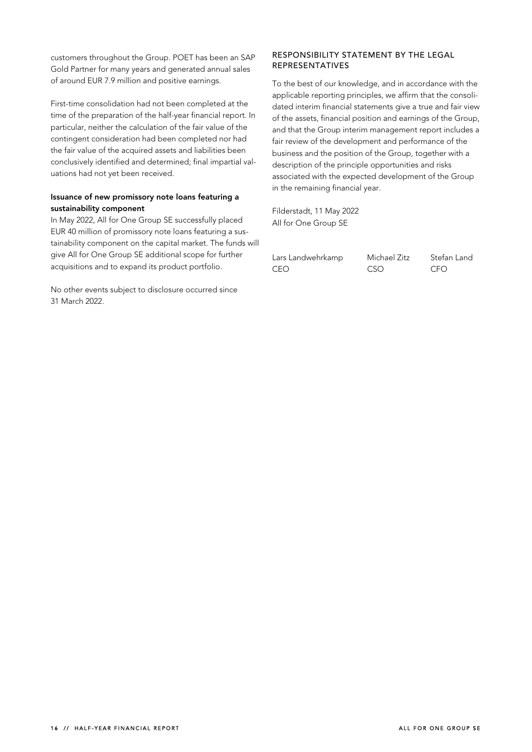customers throughout the Group. POET has been an SAP Gold Partner for many years and generated annual sales of around EUR 7.9 million and positive earnings.

First-time consolidation had not been completed at the time of the preparation of the half-year financial report. In particular, neither the calculation of the fair value of the contingent consideration had been completed nor had the fair value of the acquired assets and liabilities been conclusively identified and determined; final impartial valuations had not yet been received.

### **Issuance of new promissory note loans featuring a sustainability component**

In May 2022, All for One Group SE successfully placed EUR 40 million of promissory note loans featuring a sustainability component on the capital market. The funds will give All for One Group SE additional scope for further acquisitions and to expand its product portfolio.

No other events subject to disclosure occurred since 31 March 2022.

### **RESPONSIBILITY STATEMENT BY THE LEGAL REPRESENTATIVES**

To the best of our knowledge, and in accordance with the applicable reporting principles, we affirm that the consolidated interim financial statements give a true and fair view of the assets, financial position and earnings of the Group, and that the Group interim management report includes a fair review of the development and performance of the business and the position of the Group, together with a description of the principle opportunities and risks associated with the expected development of the Group in the remaining financial year.

Filderstadt, 11 May 2022 All for One Group SE

| Lars Landwehrkamp | Michael Zitz | Stefan Land |
|-------------------|--------------|-------------|
| CEO.              | CSO          | CFO.        |